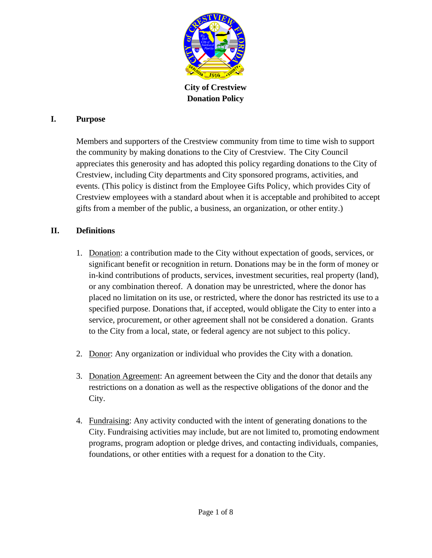

**City of Crestview Donation Policy**

### **I. Purpose**

Members and supporters of the Crestview community from time to time wish to support the community by making donations to the City of Crestview. The City Council appreciates this generosity and has adopted this policy regarding donations to the City of Crestview, including City departments and City sponsored programs, activities, and events. (This policy is distinct from the Employee Gifts Policy, which provides City of Crestview employees with a standard about when it is acceptable and prohibited to accept gifts from a member of the public, a business, an organization, or other entity.)

## **II. Definitions**

- 1. Donation: a contribution made to the City without expectation of goods, services, or significant benefit or recognition in return. Donations may be in the form of money or in-kind contributions of products, services, investment securities, real property (land), or any combination thereof. A donation may be unrestricted, where the donor has placed no limitation on its use, or restricted, where the donor has restricted its use to a specified purpose. Donations that, if accepted, would obligate the City to enter into a service, procurement, or other agreement shall not be considered a donation. Grants to the City from a local, state, or federal agency are not subject to this policy.
- 2. Donor: Any organization or individual who provides the City with a donation.
- 3. Donation Agreement: An agreement between the City and the donor that details any restrictions on a donation as well as the respective obligations of the donor and the City.
- 4. Fundraising: Any activity conducted with the intent of generating donations to the City. Fundraising activities may include, but are not limited to, promoting endowment programs, program adoption or pledge drives, and contacting individuals, companies, foundations, or other entities with a request for a donation to the City.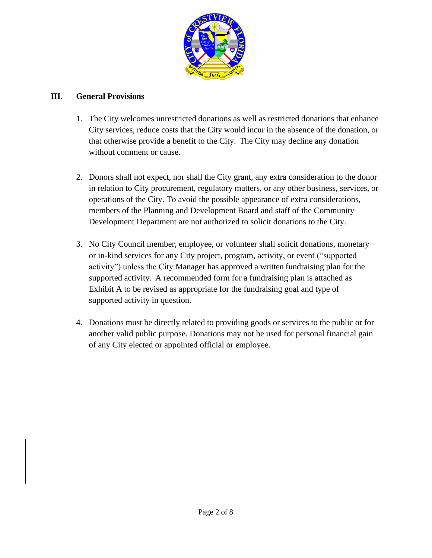

### **III. General Provisions**

- 1. The City welcomes unrestricted donations as well as restricted donations that enhance City services, reduce costs that the City would incur in the absence of the donation, or that otherwise provide a benefit to the City. The City may decline any donation without comment or cause.
- 2. Donors shall not expect, nor shall the City grant, any extra consideration to the donor in relation to City procurement, regulatory matters, or any other business, services, or operations of the City. To avoid the possible appearance of extra considerations, members of the Planning and Development Board and staff of the Community Development Department are not authorized to solicit donations to the City.
- 3. No City Council member, employee, or volunteer shall solicit donations, monetary or in-kind services for any City project, program, activity, or event ("supported activity") unless the City Manager has approved a written fundraising plan for the supported activity. A recommended form for a fundraising plan is attached as Exhibit A to be revised as appropriate for the fundraising goal and type of supported activity in question.
- 4. Donations must be directly related to providing goods or services to the public or for another valid public purpose. Donations may not be used for personal financial gain of any City elected or appointed official or employee.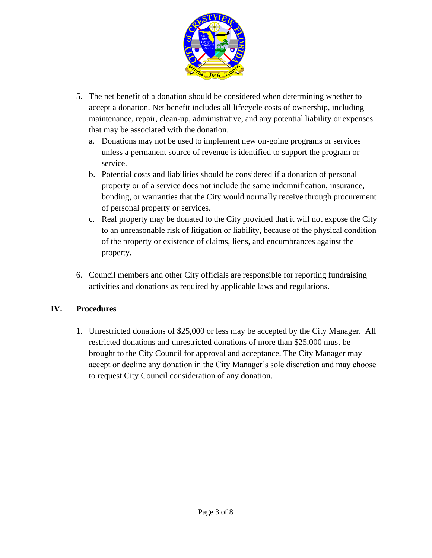

- 5. The net benefit of a donation should be considered when determining whether to accept a donation. Net benefit includes all lifecycle costs of ownership, including maintenance, repair, clean-up, administrative, and any potential liability or expenses that may be associated with the donation.
	- a. Donations may not be used to implement new on-going programs or services unless a permanent source of revenue is identified to support the program or service.
	- b. Potential costs and liabilities should be considered if a donation of personal property or of a service does not include the same indemnification, insurance, bonding, or warranties that the City would normally receive through procurement of personal property or services.
	- c. Real property may be donated to the City provided that it will not expose the City to an unreasonable risk of litigation or liability, because of the physical condition of the property or existence of claims, liens, and encumbrances against the property.
- 6. Council members and other City officials are responsible for reporting fundraising activities and donations as required by applicable laws and regulations.

## **IV. Procedures**

1. Unrestricted donations of \$25,000 or less may be accepted by the City Manager. All restricted donations and unrestricted donations of more than \$25,000 must be brought to the City Council for approval and acceptance. The City Manager may accept or decline any donation in the City Manager's sole discretion and may choose to request City Council consideration of any donation.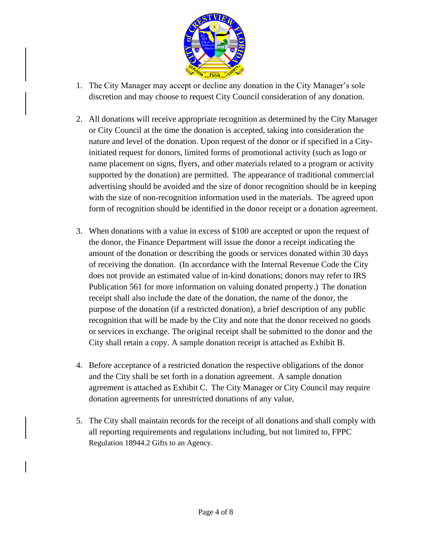

- 1. The City Manager may accept or decline any donation in the City Manager's sole discretion and may choose to request City Council consideration of any donation.
- 2. All donations will receive appropriate recognition as determined by the City Manager or City Council at the time the donation is accepted, taking into consideration the nature and level of the donation. Upon request of the donor or if specified in a Cityinitiated request for donors, limited forms of promotional activity (such as logo or name placement on signs, flyers, and other materials related to a program or activity supported by the donation) are permitted. The appearance of traditional commercial advertising should be avoided and the size of donor recognition should be in keeping with the size of non-recognition information used in the materials. The agreed upon form of recognition should be identified in the donor receipt or a donation agreement.
- 3. When donations with a value in excess of \$100 are accepted or upon the request of the donor, the Finance Department will issue the donor a receipt indicating the amount of the donation or describing the goods or services donated within 30 days of receiving the donation. (In accordance with the Internal Revenue Code the City does not provide an estimated value of in-kind donations; donors may refer to IRS Publication 561 for more information on valuing donated property.) The donation receipt shall also include the date of the donation, the name of the donor, the purpose of the donation (if a restricted donation), a brief description of any public recognition that will be made by the City and note that the donor received no goods or services in exchange. The original receipt shall be submitted to the donor and the City shall retain a copy. A sample donation receipt is attached as Exhibit B.
- 4. Before acceptance of a restricted donation the respective obligations of the donor and the City shall be set forth in a donation agreement. A sample donation agreement is attached as Exhibit C. The City Manager or City Council may require donation agreements for unrestricted donations of any value.
- 5. The City shall maintain records for the receipt of all donations and shall comply with all reporting requirements and regulations including, but not limited to, FPPC Regulation 18944.2 Gifts to an Agency.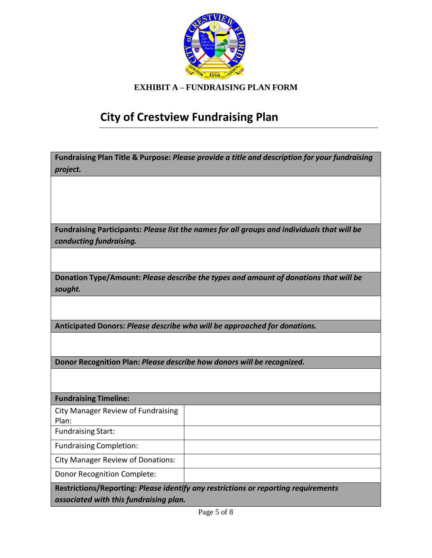

**EXHIBIT A – FUNDRAISING PLAN FORM**

# **City of Crestview Fundraising Plan**

| Fundraising Plan Title & Purpose: Please provide a title and description for your fundraising |  |  |
|-----------------------------------------------------------------------------------------------|--|--|
| project.                                                                                      |  |  |
|                                                                                               |  |  |
|                                                                                               |  |  |
|                                                                                               |  |  |
| Fundraising Participants: Please list the names for all groups and individuals that will be   |  |  |
| conducting fundraising.                                                                       |  |  |
|                                                                                               |  |  |
| Donation Type/Amount: Please describe the types and amount of donations that will be          |  |  |
| sought.                                                                                       |  |  |
|                                                                                               |  |  |
| Anticipated Donors: Please describe who will be approached for donations.                     |  |  |
|                                                                                               |  |  |
|                                                                                               |  |  |
| Donor Recognition Plan: Please describe how donors will be recognized.                        |  |  |
|                                                                                               |  |  |
| <b>Fundraising Timeline:</b>                                                                  |  |  |
| <b>City Manager Review of Fundraising</b><br>Plan:                                            |  |  |
| <b>Fundraising Start:</b>                                                                     |  |  |
| <b>Fundraising Completion:</b>                                                                |  |  |
| <b>City Manager Review of Donations:</b>                                                      |  |  |
| <b>Donor Recognition Complete:</b>                                                            |  |  |
| Restrictions/Reporting: Please identify any restrictions or reporting requirements            |  |  |
| associated with this fundraising plan.                                                        |  |  |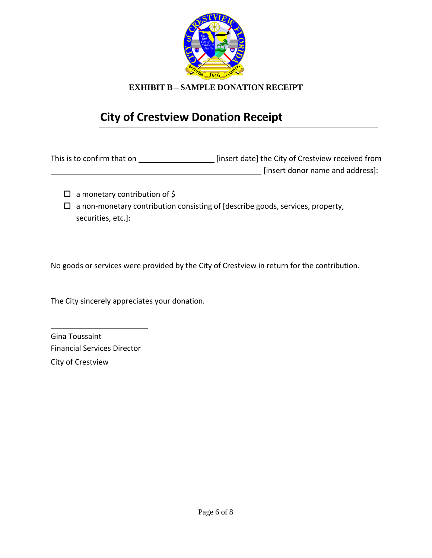

**EXHIBIT B – SAMPLE DONATION RECEIPT**

## **City of Crestview Donation Receipt**

This is to confirm that on **[insert date]** the City of Crestview received from [insert donor name and address]:

□ a monetary contribution of \$

 $\square$  a non-monetary contribution consisting of [describe goods, services, property, securities, etc.]:

No goods or services were provided by the City of Crestview in return for the contribution.

The City sincerely appreciates your donation.

Gina Toussaint Financial Services Director City of Crestview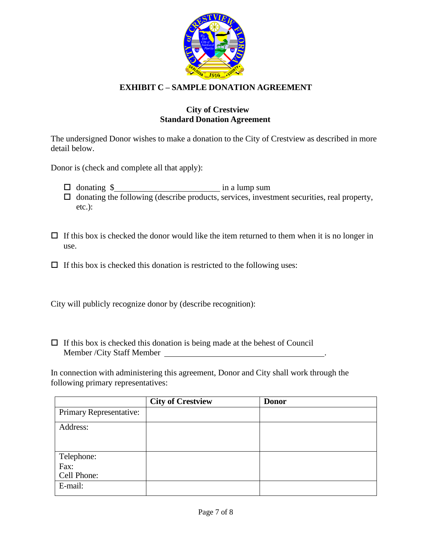

## **EXHIBIT C – SAMPLE DONATION AGREEMENT**

### **City of Crestview Standard Donation Agreement**

The undersigned Donor wishes to make a donation to the City of Crestview as described in more detail below.

Donor is (check and complete all that apply):

 $\Box$  donating  $\$\underline{\hspace{2cm}}$  in a lump sum

 $\Box$  donating the following (describe products, services, investment securities, real property, etc.):

- $\Box$  If this box is checked the donor would like the item returned to them when it is no longer in use.
- $\Box$  If this box is checked this donation is restricted to the following uses:

City will publicly recognize donor by (describe recognition):

 $\Box$  If this box is checked this donation is being made at the behest of Council Member /City Staff Member .

In connection with administering this agreement, Donor and City shall work through the following primary representatives:

|                                   | <b>City of Crestview</b> | <b>Donor</b> |
|-----------------------------------|--------------------------|--------------|
| Primary Representative:           |                          |              |
| Address:                          |                          |              |
| Telephone:<br>Fax:<br>Cell Phone: |                          |              |
| E-mail:                           |                          |              |